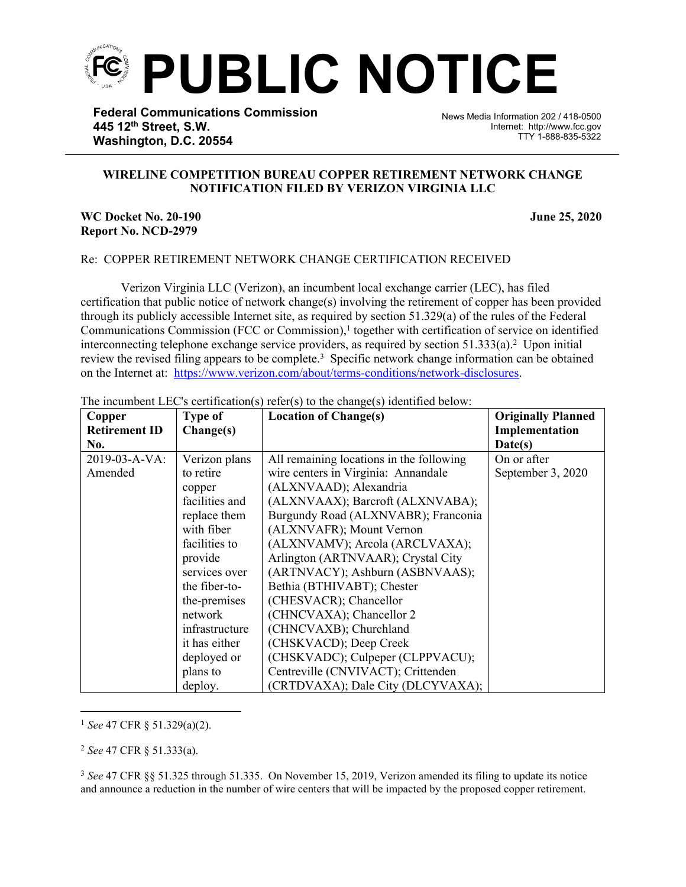

**Federal Communications Commission 445 12th Street, S.W. Washington, D.C. 20554**

News Media Information 202 / 418-0500 Internet: http://www.fcc.gov TTY 1-888-835-5322

## **WIRELINE COMPETITION BUREAU COPPER RETIREMENT NETWORK CHANGE NOTIFICATION FILED BY VERIZON VIRGINIA LLC**

֡֡֡֡

## **WC Docket No. 20-190 June 25, 2020 Report No. NCD-2979**

## Re: COPPER RETIREMENT NETWORK CHANGE CERTIFICATION RECEIVED

Verizon Virginia LLC (Verizon), an incumbent local exchange carrier (LEC), has filed certification that public notice of network change(s) involving the retirement of copper has been provided through its publicly accessible Internet site, as required by section 51.329(a) of the rules of the Federal Communications Commission (FCC or Commission),<sup>1</sup> together with certification of service on identified interconnecting telephone exchange service providers, as required by section  $51.333(a)$ .<sup>2</sup> Upon initial review the revised filing appears to be complete.<sup>3</sup> Specific network change information can be obtained on the Internet at: <https://www.verizon.com/about/terms-conditions/network-disclosures>.

| Copper               | <b>Type of</b> | <b>Location of Change(s)</b>             | <b>Originally Planned</b> |
|----------------------|----------------|------------------------------------------|---------------------------|
| <b>Retirement ID</b> | Change(s)      |                                          | Implementation            |
| No.                  |                |                                          | Date(s)                   |
| 2019-03-A-VA:        | Verizon plans  | All remaining locations in the following | On or after               |
| Amended              | to retire      | wire centers in Virginia: Annandale      | September 3, 2020         |
|                      | copper         | (ALXNVAAD); Alexandria                   |                           |
|                      | facilities and | (ALXNVAAX); Barcroft (ALXNVABA);         |                           |
|                      | replace them   | Burgundy Road (ALXNVABR); Franconia      |                           |
|                      | with fiber     | (ALXNVAFR); Mount Vernon                 |                           |
|                      | facilities to  | (ALXNVAMV); Arcola (ARCLVAXA);           |                           |
|                      | provide        | Arlington (ARTNVAAR); Crystal City       |                           |
|                      | services over  | (ARTNVACY); Ashburn (ASBNVAAS);          |                           |
|                      | the fiber-to-  | Bethia (BTHIVABT); Chester               |                           |
|                      | the-premises   | (CHESVACR); Chancellor                   |                           |
|                      | network        | (CHNCVAXA); Chancellor 2                 |                           |
|                      | infrastructure | (CHNCVAXB); Churchland                   |                           |
|                      | it has either  | (CHSKVACD); Deep Creek                   |                           |
|                      | deployed or    | (CHSKVADC); Culpeper (CLPPVACU);         |                           |
|                      | plans to       | Centreville (CNVIVACT); Crittenden       |                           |
|                      | deploy.        | (CRTDVAXA); Dale City (DLCYVAXA);        |                           |

The incumbent LEC's certification(s) refer(s) to the change(s) identified below:

<sup>1</sup> *See* 47 CFR § 51.329(a)(2).

<sup>2</sup> *See* 47 CFR § 51.333(a).

<sup>3</sup> *See* 47 CFR §§ 51.325 through 51.335. On November 15, 2019, Verizon amended its filing to update its notice and announce a reduction in the number of wire centers that will be impacted by the proposed copper retirement.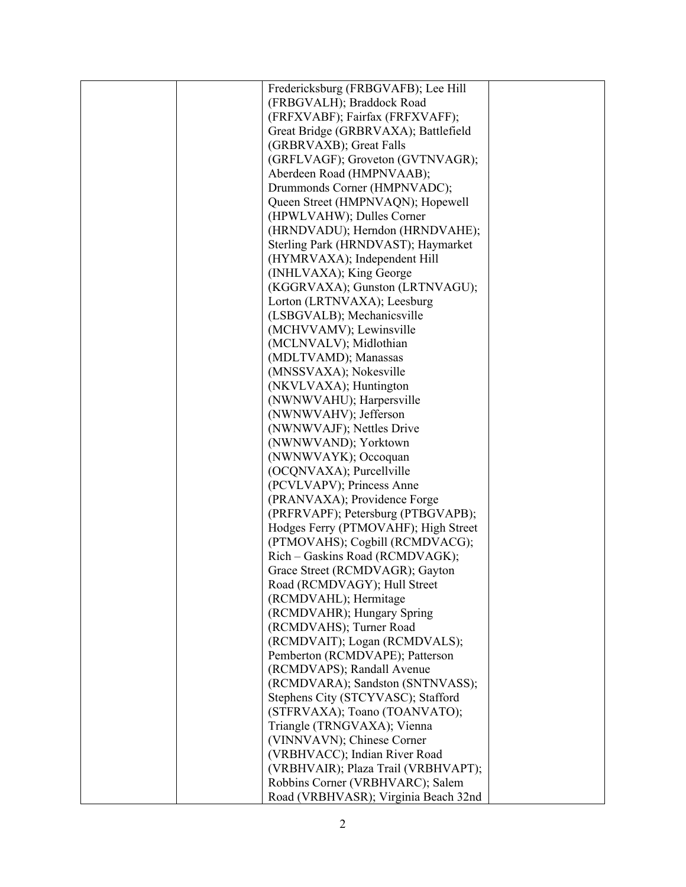| Fredericksburg (FRBGVAFB); Lee Hill  |  |
|--------------------------------------|--|
| (FRBGVALH); Braddock Road            |  |
| (FRFXVABF); Fairfax (FRFXVAFF);      |  |
| Great Bridge (GRBRVAXA); Battlefield |  |
| (GRBRVAXB); Great Falls              |  |
| (GRFLVAGF); Groveton (GVTNVAGR);     |  |
| Aberdeen Road (HMPNVAAB);            |  |
| Drummonds Corner (HMPNVADC);         |  |
| Queen Street (HMPNVAQN); Hopewell    |  |
| (HPWLVAHW); Dulles Corner            |  |
| (HRNDVADU); Herndon (HRNDVAHE);      |  |
| Sterling Park (HRNDVAST); Haymarket  |  |
| (HYMRVAXA); Independent Hill         |  |
| (INHLVAXA); King George              |  |
| (KGGRVAXA); Gunston (LRTNVAGU);      |  |
| Lorton (LRTNVAXA); Leesburg          |  |
| (LSBGVALB); Mechanicsville           |  |
| (MCHVVAMV); Lewinsville              |  |
| (MCLNVALV); Midlothian               |  |
| (MDLTVAMD); Manassas                 |  |
| (MNSSVAXA); Nokesville               |  |
| (NKVLVAXA); Huntington               |  |
| (NWNWVAHU); Harpersville             |  |
| (NWNWVAHV); Jefferson                |  |
| (NWNWVAJF); Nettles Drive            |  |
| (NWNWVAND); Yorktown                 |  |
| (NWNWVAYK); Occoquan                 |  |
| (OCQNVAXA); Purcellville             |  |
| (PCVLVAPV); Princess Anne            |  |
| (PRANVAXA); Providence Forge         |  |
| (PRFRVAPF); Petersburg (PTBGVAPB);   |  |
| Hodges Ferry (PTMOVAHF); High Street |  |
| (PTMOVAHS); Cogbill (RCMDVACG);      |  |
| Rich - Gaskins Road (RCMDVAGK);      |  |
| Grace Street (RCMDVAGR); Gayton      |  |
| Road (RCMDVAGY); Hull Street         |  |
| (RCMDVAHL); Hermitage                |  |
| (RCMDVAHR); Hungary Spring           |  |
| (RCMDVAHS); Turner Road              |  |
| (RCMDVAIT); Logan (RCMDVALS);        |  |
| Pemberton (RCMDVAPE); Patterson      |  |
| (RCMDVAPS); Randall Avenue           |  |
| (RCMDVARA); Sandston (SNTNVASS);     |  |
| Stephens City (STCYVASC); Stafford   |  |
| (STFRVAXA); Toano (TOANVATO);        |  |
| Triangle (TRNGVAXA); Vienna          |  |
| (VINNVAVN); Chinese Corner           |  |
| (VRBHVACC); Indian River Road        |  |
| (VRBHVAIR); Plaza Trail (VRBHVAPT);  |  |
| Robbins Corner (VRBHVARC); Salem     |  |
| Road (VRBHVASR); Virginia Beach 32nd |  |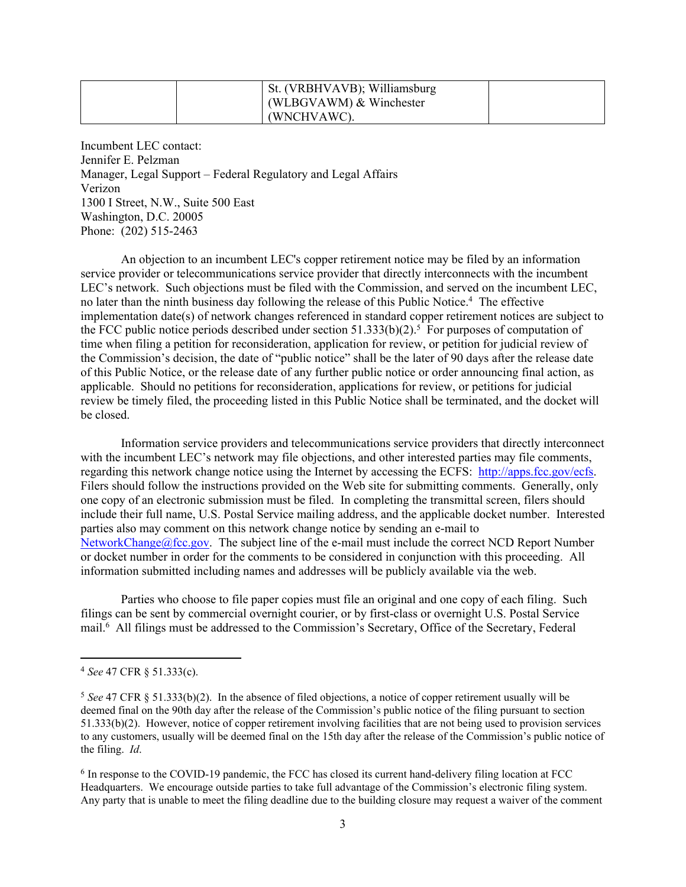| St. (VRBHVAVB); Williamsburg<br>(WLBGVAWM) $&$ Winchester |  |
|-----------------------------------------------------------|--|
| (WNCHVAWC).                                               |  |

Incumbent LEC contact: Jennifer E. Pelzman Manager, Legal Support – Federal Regulatory and Legal Affairs Verizon 1300 I Street, N.W., Suite 500 East Washington, D.C. 20005 Phone: (202) 515-2463

An objection to an incumbent LEC's copper retirement notice may be filed by an information service provider or telecommunications service provider that directly interconnects with the incumbent LEC's network. Such objections must be filed with the Commission, and served on the incumbent LEC, no later than the ninth business day following the release of this Public Notice.<sup>4</sup> The effective implementation date(s) of network changes referenced in standard copper retirement notices are subject to the FCC public notice periods described under section  $51.333(b)(2)$ .<sup>5</sup> For purposes of computation of time when filing a petition for reconsideration, application for review, or petition for judicial review of the Commission's decision, the date of "public notice" shall be the later of 90 days after the release date of this Public Notice, or the release date of any further public notice or order announcing final action, as applicable. Should no petitions for reconsideration, applications for review, or petitions for judicial review be timely filed, the proceeding listed in this Public Notice shall be terminated, and the docket will be closed.

Information service providers and telecommunications service providers that directly interconnect with the incumbent LEC's network may file objections, and other interested parties may file comments, regarding this network change notice using the Internet by accessing the ECFS: [http://apps.fcc.gov/ecfs.](http://apps.fcc.gov/ecfs) Filers should follow the instructions provided on the Web site for submitting comments. Generally, only one copy of an electronic submission must be filed. In completing the transmittal screen, filers should include their full name, U.S. Postal Service mailing address, and the applicable docket number. Interested parties also may comment on this network change notice by sending an e-mail to [NetworkChange@fcc.gov.](mailto:NetworkChange@fcc.gov) The subject line of the e-mail must include the correct NCD Report Number or docket number in order for the comments to be considered in conjunction with this proceeding. All information submitted including names and addresses will be publicly available via the web.

Parties who choose to file paper copies must file an original and one copy of each filing. Such filings can be sent by commercial overnight courier, or by first-class or overnight U.S. Postal Service mail.<sup>6</sup> All filings must be addressed to the Commission's Secretary, Office of the Secretary, Federal

<sup>4</sup> *See* 47 CFR § 51.333(c).

<sup>5</sup> *See* 47 CFR § 51.333(b)(2). In the absence of filed objections, a notice of copper retirement usually will be deemed final on the 90th day after the release of the Commission's public notice of the filing pursuant to section 51.333(b)(2). However, notice of copper retirement involving facilities that are not being used to provision services to any customers, usually will be deemed final on the 15th day after the release of the Commission's public notice of the filing. *Id*.

<sup>&</sup>lt;sup>6</sup> In response to the COVID-19 pandemic, the FCC has closed its current hand-delivery filing location at FCC Headquarters. We encourage outside parties to take full advantage of the Commission's electronic filing system. Any party that is unable to meet the filing deadline due to the building closure may request a waiver of the comment